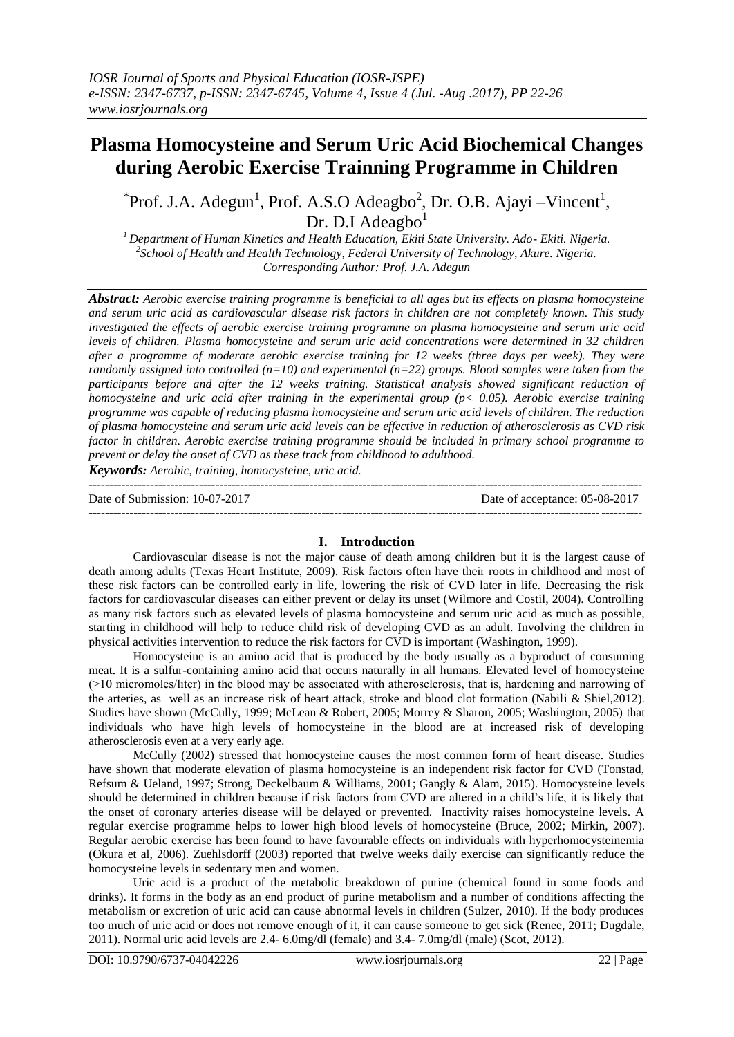# **Plasma Homocysteine and Serum Uric Acid Biochemical Changes during Aerobic Exercise Trainning Programme in Children**

 $\text{Proof. J.A. Adegun}^1$ , Prof. A.S.O Adeagbo<sup>2</sup>, Dr. O.B. Ajayi – Vincent<sup>1</sup>, Dr. D.I Adeagbo $<sup>1</sup>$ </sup>

*<sup>1</sup>Department of Human Kinetics and Health Education, Ekiti State University. Ado- Ekiti. Nigeria. 2 School of Health and Health Technology, Federal University of Technology, Akure. Nigeria. Corresponding Author: Prof. J.A. Adegun*

*Abstract: Aerobic exercise training programme is beneficial to all ages but its effects on plasma homocysteine and serum uric acid as cardiovascular disease risk factors in children are not completely known. This study investigated the effects of aerobic exercise training programme on plasma homocysteine and serum uric acid levels of children. Plasma homocysteine and serum uric acid concentrations were determined in 32 children after a programme of moderate aerobic exercise training for 12 weeks (three days per week). They were randomly assigned into controlled (n=10) and experimental (n=22) groups. Blood samples were taken from the participants before and after the 12 weeks training. Statistical analysis showed significant reduction of homocysteine and uric acid after training in the experimental group (p< 0.05). Aerobic exercise training programme was capable of reducing plasma homocysteine and serum uric acid levels of children. The reduction of plasma homocysteine and serum uric acid levels can be effective in reduction of atherosclerosis as CVD risk factor in children. Aerobic exercise training programme should be included in primary school programme to prevent or delay the onset of CVD as these track from childhood to adulthood.*

*Keywords: Aerobic, training, homocysteine, uric acid.*

--------------------------------------------------------------------------------------------------------------------------------------- Date of Submission: 10-07-2017 Date of acceptance: 05-08-2017 ---------------------------------------------------------------------------------------------------------------------------------------

## **I. Introduction**

Cardiovascular disease is not the major cause of death among children but it is the largest cause of death among adults (Texas Heart Institute, 2009). Risk factors often have their roots in childhood and most of these risk factors can be controlled early in life, lowering the risk of CVD later in life. Decreasing the risk factors for cardiovascular diseases can either prevent or delay its unset (Wilmore and Costil, 2004). Controlling as many risk factors such as elevated levels of plasma homocysteine and serum uric acid as much as possible, starting in childhood will help to reduce child risk of developing CVD as an adult. Involving the children in physical activities intervention to reduce the risk factors for CVD is important (Washington, 1999).

Homocysteine is an amino acid that is produced by the body usually as a byproduct of consuming meat. It is a sulfur-containing amino acid that occurs naturally in all humans. Elevated level of homocysteine (˃10 micromoles/liter) in the blood may be associated with atherosclerosis, that is, hardening and narrowing of the arteries, as well as an increase risk of heart attack, stroke and blood clot formation (Nabili & Shiel,2012). Studies have shown (McCully, 1999; McLean & Robert, 2005; Morrey & Sharon, 2005; Washington, 2005) that individuals who have high levels of homocysteine in the blood are at increased risk of developing atherosclerosis even at a very early age.

McCully (2002) stressed that homocysteine causes the most common form of heart disease. Studies have shown that moderate elevation of plasma homocysteine is an independent risk factor for CVD (Tonstad, Refsum & Ueland, 1997; Strong, Deckelbaum & Williams, 2001; Gangly & Alam, 2015). Homocysteine levels should be determined in children because if risk factors from CVD are altered in a child's life, it is likely that the onset of coronary arteries disease will be delayed or prevented. Inactivity raises homocysteine levels. A regular exercise programme helps to lower high blood levels of homocysteine (Bruce, 2002; Mirkin, 2007). Regular aerobic exercise has been found to have favourable effects on individuals with hyperhomocysteinemia (Okura et al, 2006). Zuehlsdorff (2003) reported that twelve weeks daily exercise can significantly reduce the homocysteine levels in sedentary men and women.

Uric acid is a product of the metabolic breakdown of purine (chemical found in some foods and drinks). It forms in the body as an end product of purine metabolism and a number of conditions affecting the metabolism or excretion of uric acid can cause abnormal levels in children (Sulzer, 2010). If the body produces too much of uric acid or does not remove enough of it, it can cause someone to get sick (Renee, 2011; Dugdale, 2011). Normal uric acid levels are 2.4- 6.0mg/dl (female) and 3.4- 7.0mg/dl (male) (Scot, 2012).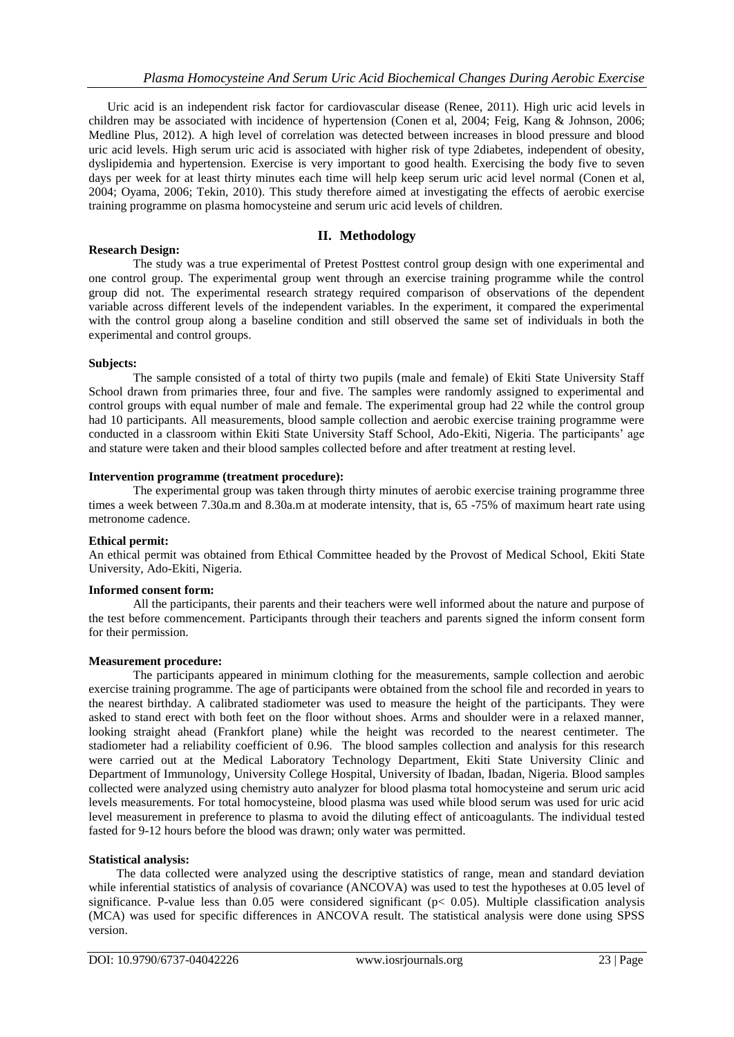Uric acid is an independent risk factor for cardiovascular disease (Renee, 2011). High uric acid levels in children may be associated with incidence of hypertension (Conen et al, 2004; Feig, Kang & Johnson, 2006; Medline Plus, 2012). A high level of correlation was detected between increases in blood pressure and blood uric acid levels. High serum uric acid is associated with higher risk of type 2diabetes, independent of obesity, dyslipidemia and hypertension. Exercise is very important to good health. Exercising the body five to seven days per week for at least thirty minutes each time will help keep serum uric acid level normal (Conen et al, 2004; Oyama, 2006; Tekin, 2010). This study therefore aimed at investigating the effects of aerobic exercise training programme on plasma homocysteine and serum uric acid levels of children.

# **II. Methodology**

## **Research Design:**

The study was a true experimental of Pretest Posttest control group design with one experimental and one control group. The experimental group went through an exercise training programme while the control group did not. The experimental research strategy required comparison of observations of the dependent variable across different levels of the independent variables. In the experiment, it compared the experimental with the control group along a baseline condition and still observed the same set of individuals in both the experimental and control groups.

#### **Subjects:**

The sample consisted of a total of thirty two pupils (male and female) of Ekiti State University Staff School drawn from primaries three, four and five. The samples were randomly assigned to experimental and control groups with equal number of male and female. The experimental group had 22 while the control group had 10 participants. All measurements, blood sample collection and aerobic exercise training programme were conducted in a classroom within Ekiti State University Staff School, Ado-Ekiti, Nigeria. The participants' age and stature were taken and their blood samples collected before and after treatment at resting level.

#### **Intervention programme (treatment procedure):**

The experimental group was taken through thirty minutes of aerobic exercise training programme three times a week between 7.30a.m and 8.30a.m at moderate intensity, that is, 65 -75% of maximum heart rate using metronome cadence.

## **Ethical permit:**

An ethical permit was obtained from Ethical Committee headed by the Provost of Medical School, Ekiti State University, Ado-Ekiti, Nigeria.

#### **Informed consent form:**

All the participants, their parents and their teachers were well informed about the nature and purpose of the test before commencement. Participants through their teachers and parents signed the inform consent form for their permission.

#### **Measurement procedure:**

The participants appeared in minimum clothing for the measurements, sample collection and aerobic exercise training programme. The age of participants were obtained from the school file and recorded in years to the nearest birthday. A calibrated stadiometer was used to measure the height of the participants. They were asked to stand erect with both feet on the floor without shoes. Arms and shoulder were in a relaxed manner, looking straight ahead (Frankfort plane) while the height was recorded to the nearest centimeter. The stadiometer had a reliability coefficient of 0.96. The blood samples collection and analysis for this research were carried out at the Medical Laboratory Technology Department, Ekiti State University Clinic and Department of Immunology, University College Hospital, University of Ibadan, Ibadan, Nigeria. Blood samples collected were analyzed using chemistry auto analyzer for blood plasma total homocysteine and serum uric acid levels measurements. For total homocysteine, blood plasma was used while blood serum was used for uric acid level measurement in preference to plasma to avoid the diluting effect of anticoagulants. The individual tested fasted for 9-12 hours before the blood was drawn; only water was permitted.

#### **Statistical analysis:**

 The data collected were analyzed using the descriptive statistics of range, mean and standard deviation while inferential statistics of analysis of covariance (ANCOVA) was used to test the hypotheses at 0.05 level of significance. P-value less than  $0.05$  were considered significant ( $p < 0.05$ ). Multiple classification analysis (MCA) was used for specific differences in ANCOVA result. The statistical analysis were done using SPSS version.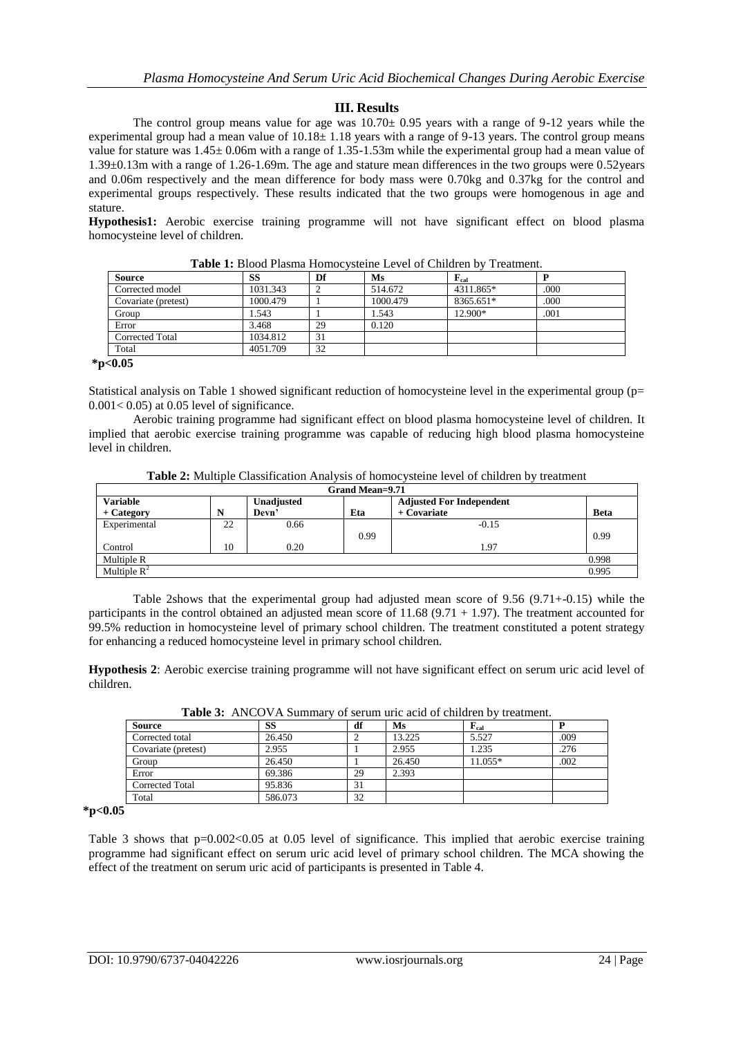# **III. Results**

The control group means value for age was  $10.70 \pm 0.95$  years with a range of 9-12 years while the experimental group had a mean value of  $10.18 \pm 1.18$  years with a range of 9-13 years. The control group means value for stature was 1.45± 0.06m with a range of 1.35-1.53m while the experimental group had a mean value of 1.39±0.13m with a range of 1.26-1.69m. The age and stature mean differences in the two groups were 0.52years and 0.06m respectively and the mean difference for body mass were 0.70kg and 0.37kg for the control and experimental groups respectively. These results indicated that the two groups were homogenous in age and stature.

**Hypothesis1:** Aerobic exercise training programme will not have significant effect on blood plasma homocysteine level of children.

| <b>Source</b>       | <b>SS</b> | Df | Ms       | $\mathbf{F}_{\rm cal}$ |      |
|---------------------|-----------|----|----------|------------------------|------|
| Corrected model     | 1031.343  |    | 514.672  | 4311.865*              | .000 |
| Covariate (pretest) | 1000.479  |    | 1000.479 | 8365.651*              | .000 |
| Group               | 1.543     |    | 1.543    | 12.900*                | .001 |
| Error               | 3.468     | 29 | 0.120    |                        |      |
| Corrected Total     | 1034.812  | 31 |          |                        |      |
| Total               | 4051.709  | 32 |          |                        |      |

**Table 1:** Blood Plasma Homocysteine Level of Children by Treatment.

**\*p<0.05**

Statistical analysis on Table 1 showed significant reduction of homocysteine level in the experimental group (p=  $0.001<0.05$ ) at 0.05 level of significance.

Aerobic training programme had significant effect on blood plasma homocysteine level of children. It implied that aerobic exercise training programme was capable of reducing high blood plasma homocysteine level in children.

**Table 2:** Multiple Classification Analysis of homocysteine level of children by treatment

| Grand Mean=9.71         |    |            |      |                                 |             |  |
|-------------------------|----|------------|------|---------------------------------|-------------|--|
| <b>Variable</b>         |    | Unadjusted |      | <b>Adjusted For Independent</b> |             |  |
| + Category              | N  | Devn'      | Eta  | $+$ Covariate                   | <b>Beta</b> |  |
| Experimental            | 22 | 0.66       |      | $-0.15$                         |             |  |
|                         |    |            | 0.99 |                                 | 0.99        |  |
| Control                 | 10 | 0.20       |      | 1.97                            |             |  |
| Multiple R              |    |            |      |                                 | 0.998       |  |
| Multiple $\mathbb{R}^2$ |    |            |      |                                 | 0.995       |  |

Table 2shows that the experimental group had adjusted mean score of 9.56 (9.71+-0.15) while the participants in the control obtained an adjusted mean score of  $11.68 (9.71 + 1.97)$ . The treatment accounted for 99.5% reduction in homocysteine level of primary school children. The treatment constituted a potent strategy for enhancing a reduced homocysteine level in primary school children.

**Hypothesis 2**: Aerobic exercise training programme will not have significant effect on serum uric acid level of children.

| <b>Source</b>       | SS      | df | Ms     | $\mathbf{F}_{\mathrm{cal}}$ |      |
|---------------------|---------|----|--------|-----------------------------|------|
| Corrected total     | 26.450  |    | 13.225 | 5.527                       | .009 |
| Covariate (pretest) | 2.955   |    | 2.955  | 1.235                       | .276 |
| Group               | 26.450  |    | 26.450 | 11.055*                     | .002 |
| Error               | 69.386  | 29 | 2.393  |                             |      |
| Corrected Total     | 95.836  | 31 |        |                             |      |
| Total               | 586.073 | 32 |        |                             |      |

**Table 3:** ANCOVA Summary of serum uric acid of children by treatment.

**\*p<0.05**

Table 3 shows that  $p=0.002<0.05$  at 0.05 level of significance. This implied that aerobic exercise training programme had significant effect on serum uric acid level of primary school children. The MCA showing the effect of the treatment on serum uric acid of participants is presented in Table 4.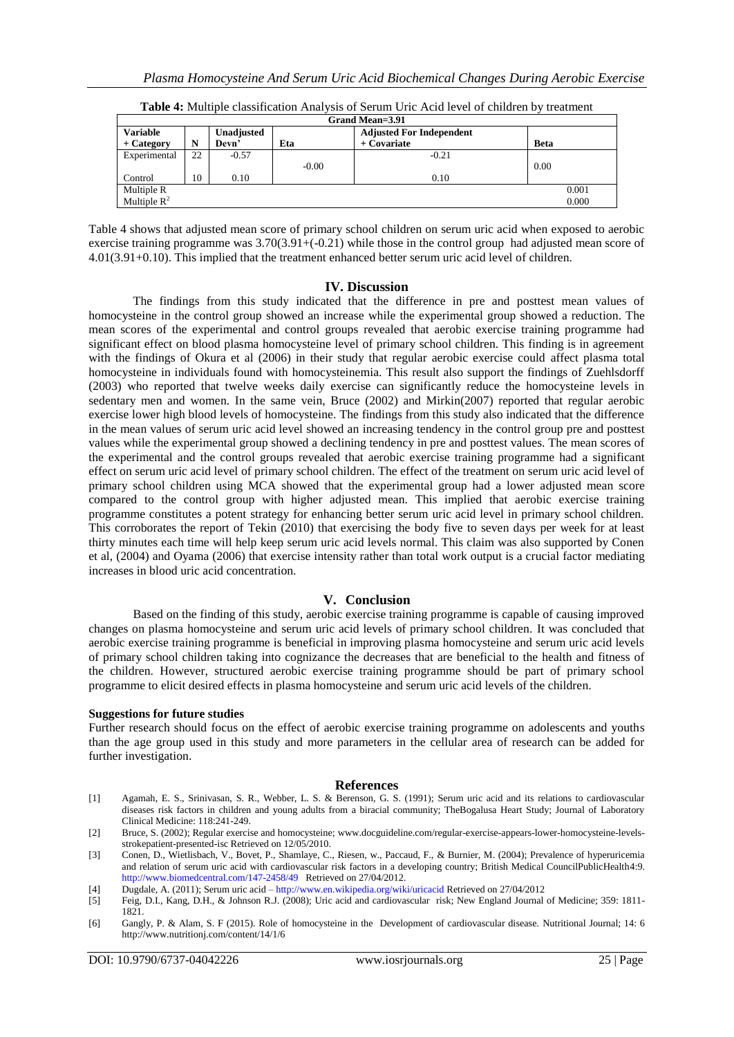| Grand Mean=3.91 |            |         |                                 |             |  |  |
|-----------------|------------|---------|---------------------------------|-------------|--|--|
|                 | Unadjusted |         | <b>Adjusted For Independent</b> |             |  |  |
| N               | Devn'      | Eta     | + Covariate                     | <b>Beta</b> |  |  |
| 22              | $-0.57$    |         | $-0.21$                         |             |  |  |
|                 |            | $-0.00$ |                                 | 0.00        |  |  |
| 10              | 0.10       |         | 0.10                            |             |  |  |
|                 |            |         |                                 | 0.001       |  |  |
|                 |            |         |                                 | 0.000       |  |  |
|                 |            |         |                                 |             |  |  |

**Table 4:** Multiple classification Analysis of Serum Uric Acid level of children by treatment

Table 4 shows that adjusted mean score of primary school children on serum uric acid when exposed to aerobic exercise training programme was  $3.70(3.91 + (-0.21)$  while those in the control group had adjusted mean score of 4.01(3.91+0.10). This implied that the treatment enhanced better serum uric acid level of children.

## **IV. Discussion**

The findings from this study indicated that the difference in pre and posttest mean values of homocysteine in the control group showed an increase while the experimental group showed a reduction. The mean scores of the experimental and control groups revealed that aerobic exercise training programme had significant effect on blood plasma homocysteine level of primary school children. This finding is in agreement with the findings of Okura et al (2006) in their study that regular aerobic exercise could affect plasma total homocysteine in individuals found with homocysteinemia. This result also support the findings of Zuehlsdorff (2003) who reported that twelve weeks daily exercise can significantly reduce the homocysteine levels in sedentary men and women. In the same vein, Bruce (2002) and Mirkin(2007) reported that regular aerobic exercise lower high blood levels of homocysteine. The findings from this study also indicated that the difference in the mean values of serum uric acid level showed an increasing tendency in the control group pre and posttest values while the experimental group showed a declining tendency in pre and posttest values. The mean scores of the experimental and the control groups revealed that aerobic exercise training programme had a significant effect on serum uric acid level of primary school children. The effect of the treatment on serum uric acid level of primary school children using MCA showed that the experimental group had a lower adjusted mean score compared to the control group with higher adjusted mean. This implied that aerobic exercise training programme constitutes a potent strategy for enhancing better serum uric acid level in primary school children. This corroborates the report of Tekin (2010) that exercising the body five to seven days per week for at least thirty minutes each time will help keep serum uric acid levels normal. This claim was also supported by Conen et al, (2004) and Oyama (2006) that exercise intensity rather than total work output is a crucial factor mediating increases in blood uric acid concentration.

## **V. Conclusion**

Based on the finding of this study, aerobic exercise training programme is capable of causing improved changes on plasma homocysteine and serum uric acid levels of primary school children. It was concluded that aerobic exercise training programme is beneficial in improving plasma homocysteine and serum uric acid levels of primary school children taking into cognizance the decreases that are beneficial to the health and fitness of the children. However, structured aerobic exercise training programme should be part of primary school programme to elicit desired effects in plasma homocysteine and serum uric acid levels of the children.

#### **Suggestions for future studies**

Further research should focus on the effect of aerobic exercise training programme on adolescents and youths than the age group used in this study and more parameters in the cellular area of research can be added for further investigation.

#### **References**

- [1] Agamah, E. S., Srinivasan, S. R., Webber, L. S. & Berenson, G. S. (1991); Serum uric acid and its relations to cardiovascular diseases risk factors in children and young adults from a biracial community; TheBogalusa Heart Study; Journal of Laboratory Clinical Medicine: 118:241-249.
- [2] Bruce, S. (2002); Regular exercise and homocysteine; www.docguideline.com/regular-exercise-appears-lower-homocysteine-levelsstrokepatient-presented-isc Retrieved on 12/05/2010.
- [3] Conen, D., Wietlisbach, V., Bovet, P., Shamlaye, C., Riesen, w., Paccaud, F., & Burnier, M. (2004); Prevalence of hyperuricemia and relation of serum uric acid with cardiovascular risk factors in a developing country; British Medical CouncilPublicHealth4:9. <http://www.biomedcentral.com/147-2458/49>Retrieved on 27/04/2012.
- [4] Dugdale, A. (2011); Serum uric acid <http://www.en.wikipedia.org/wiki/uricacid> Retrieved on 27/04/2012
- [5] Feig, D.I., Kang, D.H., & Johnson R.J. (2008); Uric acid and cardiovascular risk; New England Journal of Medicine; 359: 1811- 1821.
- [6] Gangly, P. & Alam, S. F (2015). Role of homocysteine in the Development of cardiovascular disease. Nutritional Journal; 14: 6 http://www.nutritionj.com/content/14/1/6